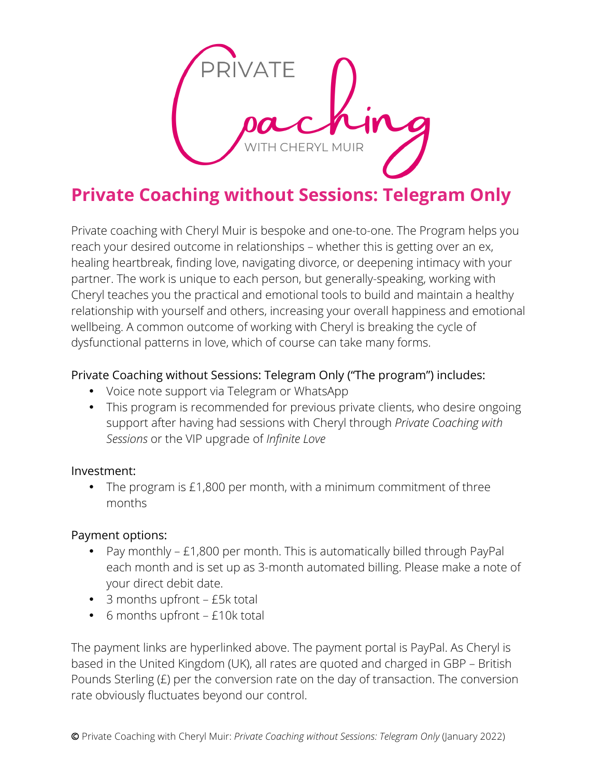

# **Private Coaching without Sessions: Telegram Only**

Private coaching with Cheryl Muir is bespoke and one-to-one. The Program helps you reach your desired outcome in relationships – whether this is getting over an ex, healing heartbreak, finding love, navigating divorce, or deepening intimacy with your partner. The work is unique to each person, but generally-speaking, working with Cheryl teaches you the practical and emotional tools to build and maintain a healthy relationship with yourself and others, increasing your overall happiness and emotional wellbeing. A common outcome of working with Cheryl is breaking the cycle of dysfunctional patterns in love, which of course can take many forms.

### Private Coaching without Sessions: Telegram Only ("The program") includes:

- Voice note support via Telegram or WhatsApp
- This program is recommended for previous private clients, who desire ongoing support after having had sessions with Cheryl through *Private Coaching with Sessions* or the VIP upgrade of *Infinite Love*

#### Investment:

• The program is £1,800 per month, with a minimum commitment of three months

#### Payment options:

- Pay monthly £1,800 per month. This is automatically billed through PayPal each month and is set up as 3-month automated billing. Please make a note of your direct debit date.
- 3 months upfront £5k total
- 6 months upfront £10k total

The payment links are hyperlinked above. The payment portal is PayPal. As Cheryl is based in the United Kingdom (UK), all rates are quoted and charged in GBP – British Pounds Sterling (£) per the conversion rate on the day of transaction. The conversion rate obviously fluctuates beyond our control.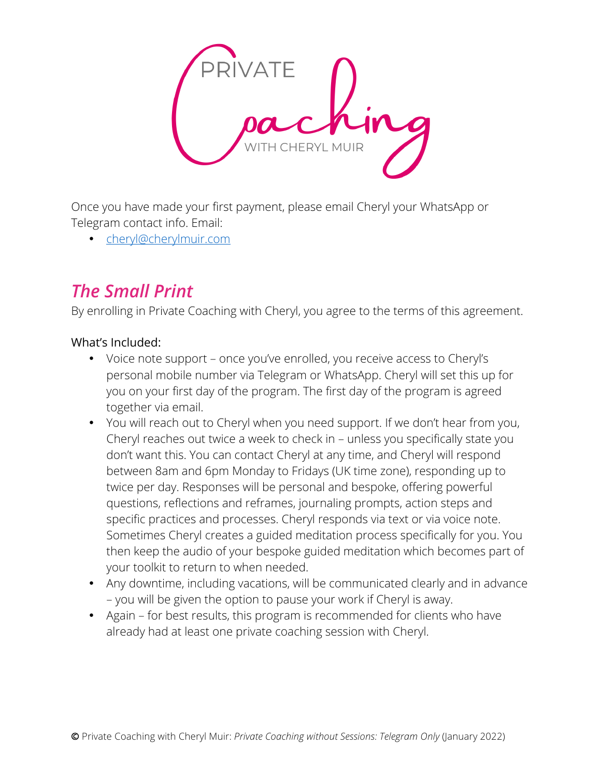

Once you have made your first payment, please email Cheryl your WhatsApp or Telegram contact info. Email:

• cheryl@cherylmuir.com

# *The Small Print*

By enrolling in Private Coaching with Cheryl, you agree to the terms of this agreement.

#### What's Included:

- Voice note support once you've enrolled, you receive access to Cheryl's personal mobile number via Telegram or WhatsApp. Cheryl will set this up for you on your first day of the program. The first day of the program is agreed together via email.
- You will reach out to Cheryl when you need support. If we don't hear from you, Cheryl reaches out twice a week to check in – unless you specifically state you don't want this. You can contact Cheryl at any time, and Cheryl will respond between 8am and 6pm Monday to Fridays (UK time zone), responding up to twice per day. Responses will be personal and bespoke, offering powerful questions, reflections and reframes, journaling prompts, action steps and specific practices and processes. Cheryl responds via text or via voice note. Sometimes Cheryl creates a guided meditation process specifically for you. You then keep the audio of your bespoke guided meditation which becomes part of your toolkit to return to when needed.
- Any downtime, including vacations, will be communicated clearly and in advance – you will be given the option to pause your work if Cheryl is away.
- Again for best results, this program is recommended for clients who have already had at least one private coaching session with Cheryl.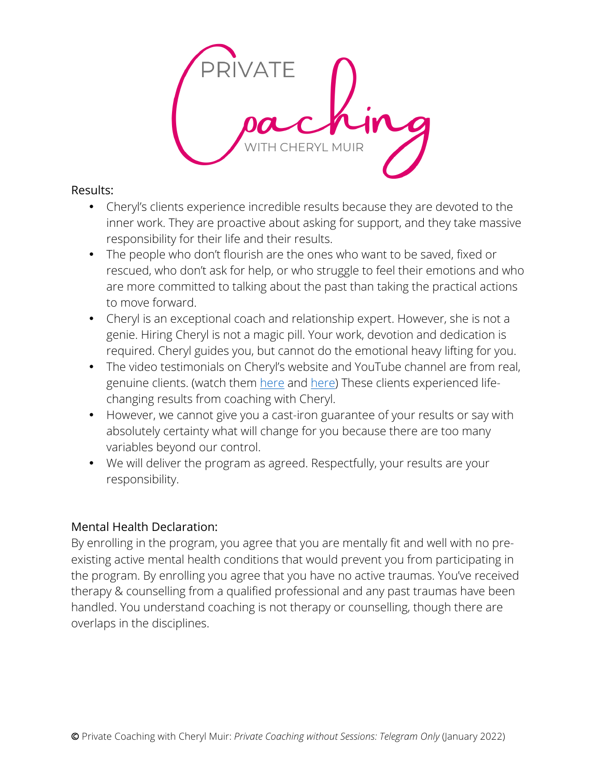

#### Results:

- Cheryl's clients experience incredible results because they are devoted to the inner work. They are proactive about asking for support, and they take massive responsibility for their life and their results.
- The people who don't flourish are the ones who want to be saved, fixed or rescued, who don't ask for help, or who struggle to feel their emotions and who are more committed to talking about the past than taking the practical actions to move forward.
- Cheryl is an exceptional coach and relationship expert. However, she is not a genie. Hiring Cheryl is not a magic pill. Your work, devotion and dedication is required. Cheryl guides you, but cannot do the emotional heavy lifting for you.
- The video testimonials on Cheryl's website and YouTube channel are from real, genuine clients. (watch them here and here) These clients experienced lifechanging results from coaching with Cheryl.
- However, we cannot give you a cast-iron guarantee of your results or say with absolutely certainty what will change for you because there are too many variables beyond our control.
- We will deliver the program as agreed. Respectfully, your results are your responsibility.

# Mental Health Declaration:

By enrolling in the program, you agree that you are mentally fit and well with no preexisting active mental health conditions that would prevent you from participating in the program. By enrolling you agree that you have no active traumas. You've received therapy & counselling from a qualified professional and any past traumas have been handled. You understand coaching is not therapy or counselling, though there are overlaps in the disciplines.